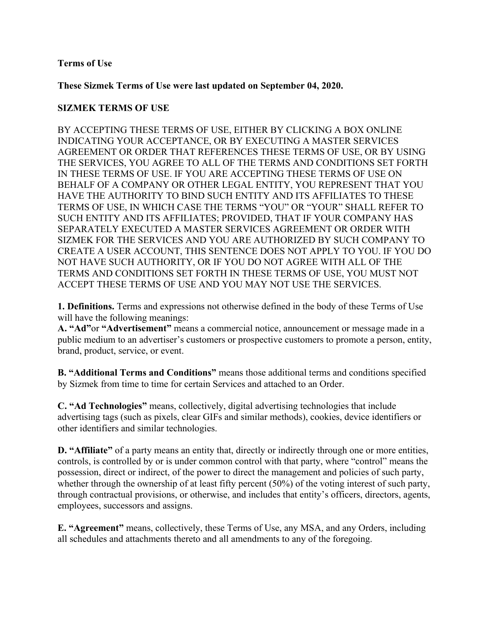### **Terms of Use**

**These Sizmek Terms of Use were last updated on September 04, 2020.**

### **SIZMEK TERMS OF USE**

BY ACCEPTING THESE TERMS OF USE, EITHER BY CLICKING A BOX ONLINE INDICATING YOUR ACCEPTANCE, OR BY EXECUTING A MASTER SERVICES AGREEMENT OR ORDER THAT REFERENCES THESE TERMS OF USE, OR BY USING THE SERVICES, YOU AGREE TO ALL OF THE TERMS AND CONDITIONS SET FORTH IN THESE TERMS OF USE. IF YOU ARE ACCEPTING THESE TERMS OF USE ON BEHALF OF A COMPANY OR OTHER LEGAL ENTITY, YOU REPRESENT THAT YOU HAVE THE AUTHORITY TO BIND SUCH ENTITY AND ITS AFFILIATES TO THESE TERMS OF USE, IN WHICH CASE THE TERMS "YOU" OR "YOUR" SHALL REFER TO SUCH ENTITY AND ITS AFFILIATES; PROVIDED, THAT IF YOUR COMPANY HAS SEPARATELY EXECUTED A MASTER SERVICES AGREEMENT OR ORDER WITH SIZMEK FOR THE SERVICES AND YOU ARE AUTHORIZED BY SUCH COMPANY TO CREATE A USER ACCOUNT, THIS SENTENCE DOES NOT APPLY TO YOU. IF YOU DO NOT HAVE SUCH AUTHORITY, OR IF YOU DO NOT AGREE WITH ALL OF THE TERMS AND CONDITIONS SET FORTH IN THESE TERMS OF USE, YOU MUST NOT ACCEPT THESE TERMS OF USE AND YOU MAY NOT USE THE SERVICES.

**1. Definitions.** Terms and expressions not otherwise defined in the body of these Terms of Use will have the following meanings:

**A. "Ad"**or **"Advertisement"** means a commercial notice, announcement or message made in a public medium to an advertiser's customers or prospective customers to promote a person, entity, brand, product, service, or event.

**B. "Additional Terms and Conditions"** means those additional terms and conditions specified by Sizmek from time to time for certain Services and attached to an Order.

**C. "Ad Technologies"** means, collectively, digital advertising technologies that include advertising tags (such as pixels, clear GIFs and similar methods), cookies, device identifiers or other identifiers and similar technologies.

**D. "Affiliate"** of a party means an entity that, directly or indirectly through one or more entities, controls, is controlled by or is under common control with that party, where "control" means the possession, direct or indirect, of the power to direct the management and policies of such party, whether through the ownership of at least fifty percent (50%) of the voting interest of such party, through contractual provisions, or otherwise, and includes that entity's officers, directors, agents, employees, successors and assigns.

**E. "Agreement"** means, collectively, these Terms of Use, any MSA, and any Orders, including all schedules and attachments thereto and all amendments to any of the foregoing.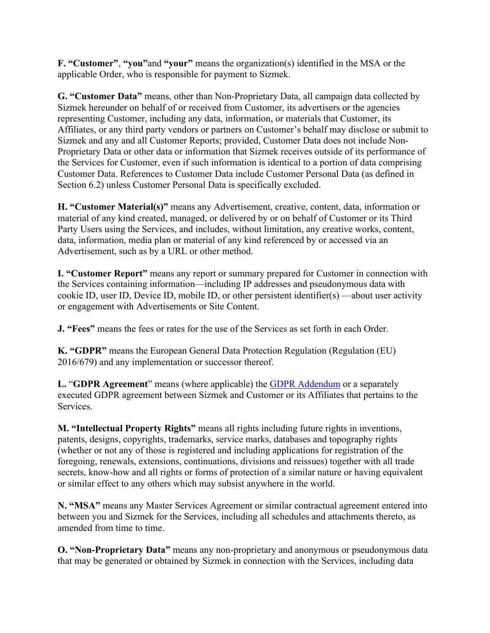**F. "Customer"**, **"you"**and **"your"** means the organization(s) identified in the MSA or the applicable Order, who is responsible for payment to Sizmek.

**G. "Customer Data"** means, other than Non-Proprietary Data, all campaign data collected by Sizmek hereunder on behalf of or received from Customer, its advertisers or the agencies representing Customer, including any data, information, or materials that Customer, its Affiliates, or any third party vendors or partners on Customer's behalf may disclose or submit to Sizmek and any and all Customer Reports; provided, Customer Data does not include Non-Proprietary Data or other data or information that Sizmek receives outside of its performance of the Services for Customer, even if such information is identical to a portion of data comprising Customer Data. References to Customer Data include Customer Personal Data (as defined in Section 6.2) unless Customer Personal Data is specifically excluded.

**H. "Customer Material(s)"** means any Advertisement, creative, content, data, information or material of any kind created, managed, or delivered by or on behalf of Customer or its Third Party Users using the Services, and includes, without limitation, any creative works, content, data, information, media plan or material of any kind referenced by or accessed via an Advertisement, such as by a URL or other method.

**I. "Customer Report"** means any report or summary prepared for Customer in connection with the Services containing information—including IP addresses and pseudonymous data with cookie ID, user ID, Device ID, mobile ID, or other persistent identifier(s) —about user activity or engagement with Advertisements or Site Content.

**J. "Fees"** means the fees or rates for the use of the Services as set forth in each Order.

**K. "GDPR"** means the European General Data Protection Regulation (Regulation (EU) 2016/679) and any implementation or successor thereof.

**L.** "**GDPR Agreement**" means (where applicable) the GDPR Addendum or a separately executed GDPR agreement between Sizmek and Customer or its Affiliates that pertains to the Services.

**M. "Intellectual Property Rights"** means all rights including future rights in inventions, patents, designs, copyrights, trademarks, service marks, databases and topography rights (whether or not any of those is registered and including applications for registration of the foregoing, renewals, extensions, continuations, divisions and reissues) together with all trade secrets, know-how and all rights or forms of protection of a similar nature or having equivalent or similar effect to any others which may subsist anywhere in the world.

**N. "MSA"** means any Master Services Agreement or similar contractual agreement entered into between you and Sizmek for the Services, including all schedules and attachments thereto, as amended from time to time.

**O. "Non-Proprietary Data"** means any non-proprietary and anonymous or pseudonymous data that may be generated or obtained by Sizmek in connection with the Services, including data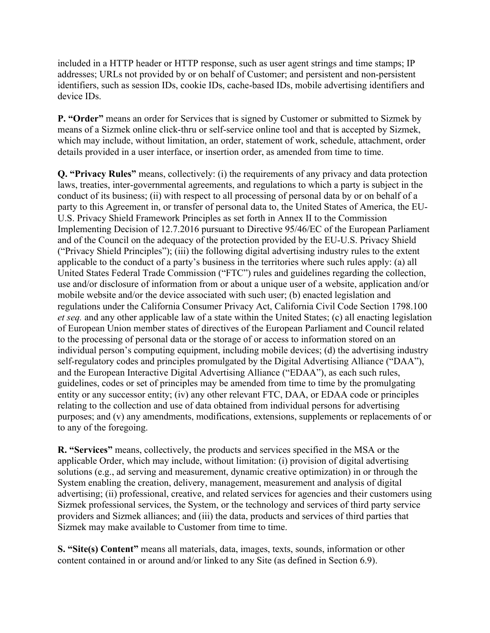included in a HTTP header or HTTP response, such as user agent strings and time stamps; IP addresses; URLs not provided by or on behalf of Customer; and persistent and non-persistent identifiers, such as session IDs, cookie IDs, cache-based IDs, mobile advertising identifiers and device IDs.

**P. "Order"** means an order for Services that is signed by Customer or submitted to Sizmek by means of a Sizmek online click-thru or self-service online tool and that is accepted by Sizmek, which may include, without limitation, an order, statement of work, schedule, attachment, order details provided in a user interface, or insertion order, as amended from time to time.

**Q. "Privacy Rules"** means, collectively: (i) the requirements of any privacy and data protection laws, treaties, inter-governmental agreements, and regulations to which a party is subject in the conduct of its business; (ii) with respect to all processing of personal data by or on behalf of a party to this Agreement in, or transfer of personal data to, the United States of America, the EU-U.S. Privacy Shield Framework Principles as set forth in Annex II to the Commission Implementing Decision of 12.7.2016 pursuant to Directive 95/46/EC of the European Parliament and of the Council on the adequacy of the protection provided by the EU-U.S. Privacy Shield ("Privacy Shield Principles"); (iii) the following digital advertising industry rules to the extent applicable to the conduct of a party's business in the territories where such rules apply: (a) all United States Federal Trade Commission ("FTC") rules and guidelines regarding the collection, use and/or disclosure of information from or about a unique user of a website, application and/or mobile website and/or the device associated with such user; (b) enacted legislation and regulations under the California Consumer Privacy Act, California Civil Code Section 1798.100 *et seq.* and any other applicable law of a state within the United States; (c) all enacting legislation of European Union member states of directives of the European Parliament and Council related to the processing of personal data or the storage of or access to information stored on an individual person's computing equipment, including mobile devices; (d) the advertising industry self-regulatory codes and principles promulgated by the Digital Advertising Alliance ("DAA"), and the European Interactive Digital Advertising Alliance ("EDAA"), as each such rules, guidelines, codes or set of principles may be amended from time to time by the promulgating entity or any successor entity; (iv) any other relevant FTC, DAA, or EDAA code or principles relating to the collection and use of data obtained from individual persons for advertising purposes; and (v) any amendments, modifications, extensions, supplements or replacements of or to any of the foregoing.

**R. "Services"** means, collectively, the products and services specified in the MSA or the applicable Order, which may include, without limitation: (i) provision of digital advertising solutions (e.g., ad serving and measurement, dynamic creative optimization) in or through the System enabling the creation, delivery, management, measurement and analysis of digital advertising; (ii) professional, creative, and related services for agencies and their customers using Sizmek professional services, the System, or the technology and services of third party service providers and Sizmek alliances; and (iii) the data, products and services of third parties that Sizmek may make available to Customer from time to time.

**S. "Site(s) Content"** means all materials, data, images, texts, sounds, information or other content contained in or around and/or linked to any Site (as defined in Section 6.9).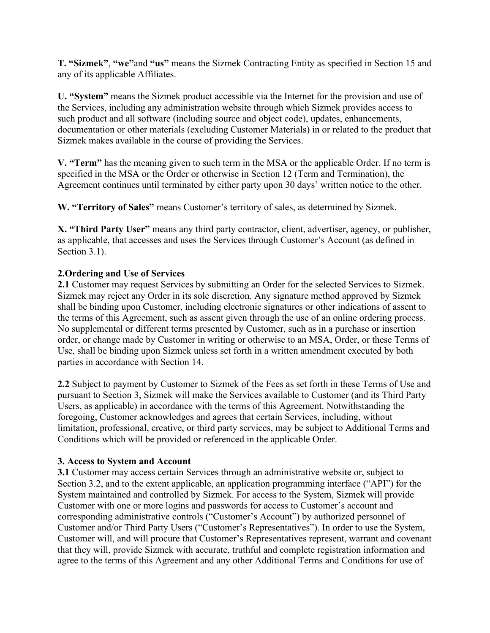**T. "Sizmek"**, **"we"**and **"us"** means the Sizmek Contracting Entity as specified in Section 15 and any of its applicable Affiliates.

**U. "System"** means the Sizmek product accessible via the Internet for the provision and use of the Services, including any administration website through which Sizmek provides access to such product and all software (including source and object code), updates, enhancements, documentation or other materials (excluding Customer Materials) in or related to the product that Sizmek makes available in the course of providing the Services.

**V. "Term"** has the meaning given to such term in the MSA or the applicable Order. If no term is specified in the MSA or the Order or otherwise in Section 12 (Term and Termination), the Agreement continues until terminated by either party upon 30 days' written notice to the other.

**W. "Territory of Sales"** means Customer's territory of sales, as determined by Sizmek.

**X. "Third Party User"** means any third party contractor, client, advertiser, agency, or publisher, as applicable, that accesses and uses the Services through Customer's Account (as defined in Section 3.1).

# **2.Ordering and Use of Services**

**2.1** Customer may request Services by submitting an Order for the selected Services to Sizmek. Sizmek may reject any Order in its sole discretion. Any signature method approved by Sizmek shall be binding upon Customer, including electronic signatures or other indications of assent to the terms of this Agreement, such as assent given through the use of an online ordering process. No supplemental or different terms presented by Customer, such as in a purchase or insertion order, or change made by Customer in writing or otherwise to an MSA, Order, or these Terms of Use, shall be binding upon Sizmek unless set forth in a written amendment executed by both parties in accordance with Section 14.

**2.2** Subject to payment by Customer to Sizmek of the Fees as set forth in these Terms of Use and pursuant to Section 3, Sizmek will make the Services available to Customer (and its Third Party Users, as applicable) in accordance with the terms of this Agreement. Notwithstanding the foregoing, Customer acknowledges and agrees that certain Services, including, without limitation, professional, creative, or third party services, may be subject to Additional Terms and Conditions which will be provided or referenced in the applicable Order.

## **3. Access to System and Account**

**3.1** Customer may access certain Services through an administrative website or, subject to Section 3.2, and to the extent applicable, an application programming interface ("API") for the System maintained and controlled by Sizmek. For access to the System, Sizmek will provide Customer with one or more logins and passwords for access to Customer's account and corresponding administrative controls ("Customer's Account") by authorized personnel of Customer and/or Third Party Users ("Customer's Representatives"). In order to use the System, Customer will, and will procure that Customer's Representatives represent, warrant and covenant that they will, provide Sizmek with accurate, truthful and complete registration information and agree to the terms of this Agreement and any other Additional Terms and Conditions for use of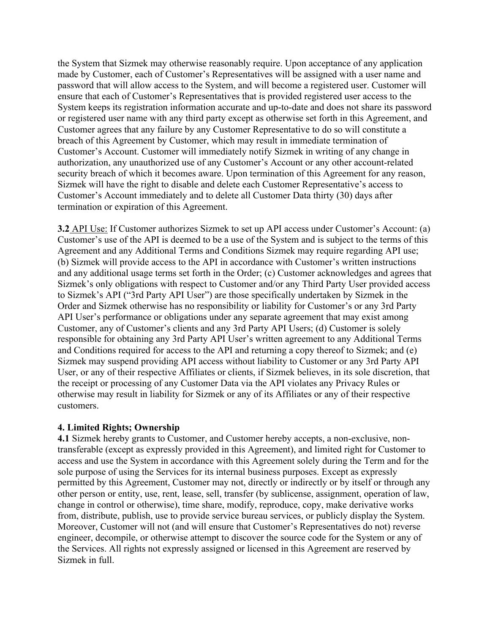the System that Sizmek may otherwise reasonably require. Upon acceptance of any application made by Customer, each of Customer's Representatives will be assigned with a user name and password that will allow access to the System, and will become a registered user. Customer will ensure that each of Customer's Representatives that is provided registered user access to the System keeps its registration information accurate and up-to-date and does not share its password or registered user name with any third party except as otherwise set forth in this Agreement, and Customer agrees that any failure by any Customer Representative to do so will constitute a breach of this Agreement by Customer, which may result in immediate termination of Customer's Account. Customer will immediately notify Sizmek in writing of any change in authorization, any unauthorized use of any Customer's Account or any other account-related security breach of which it becomes aware. Upon termination of this Agreement for any reason, Sizmek will have the right to disable and delete each Customer Representative's access to Customer's Account immediately and to delete all Customer Data thirty (30) days after termination or expiration of this Agreement.

**3.2** API Use: If Customer authorizes Sizmek to set up API access under Customer's Account: (a) Customer's use of the API is deemed to be a use of the System and is subject to the terms of this Agreement and any Additional Terms and Conditions Sizmek may require regarding API use; (b) Sizmek will provide access to the API in accordance with Customer's written instructions and any additional usage terms set forth in the Order; (c) Customer acknowledges and agrees that Sizmek's only obligations with respect to Customer and/or any Third Party User provided access to Sizmek's API ("3rd Party API User") are those specifically undertaken by Sizmek in the Order and Sizmek otherwise has no responsibility or liability for Customer's or any 3rd Party API User's performance or obligations under any separate agreement that may exist among Customer, any of Customer's clients and any 3rd Party API Users; (d) Customer is solely responsible for obtaining any 3rd Party API User's written agreement to any Additional Terms and Conditions required for access to the API and returning a copy thereof to Sizmek; and (e) Sizmek may suspend providing API access without liability to Customer or any 3rd Party API User, or any of their respective Affiliates or clients, if Sizmek believes, in its sole discretion, that the receipt or processing of any Customer Data via the API violates any Privacy Rules or otherwise may result in liability for Sizmek or any of its Affiliates or any of their respective customers.

## **4. Limited Rights; Ownership**

**4.1** Sizmek hereby grants to Customer, and Customer hereby accepts, a non-exclusive, nontransferable (except as expressly provided in this Agreement), and limited right for Customer to access and use the System in accordance with this Agreement solely during the Term and for the sole purpose of using the Services for its internal business purposes. Except as expressly permitted by this Agreement, Customer may not, directly or indirectly or by itself or through any other person or entity, use, rent, lease, sell, transfer (by sublicense, assignment, operation of law, change in control or otherwise), time share, modify, reproduce, copy, make derivative works from, distribute, publish, use to provide service bureau services, or publicly display the System. Moreover, Customer will not (and will ensure that Customer's Representatives do not) reverse engineer, decompile, or otherwise attempt to discover the source code for the System or any of the Services. All rights not expressly assigned or licensed in this Agreement are reserved by Sizmek in full.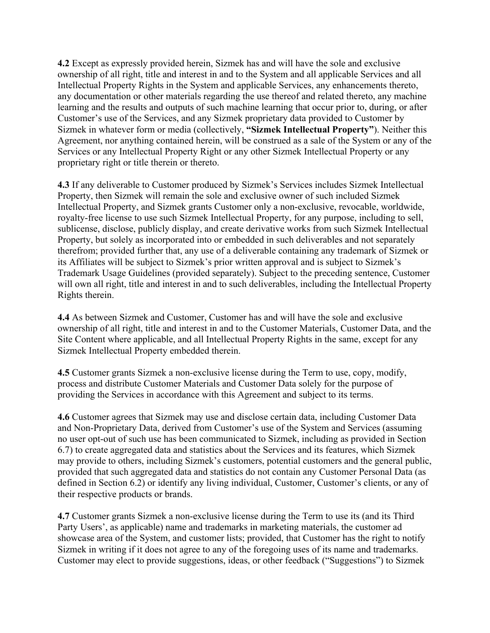**4.2** Except as expressly provided herein, Sizmek has and will have the sole and exclusive ownership of all right, title and interest in and to the System and all applicable Services and all Intellectual Property Rights in the System and applicable Services, any enhancements thereto, any documentation or other materials regarding the use thereof and related thereto, any machine learning and the results and outputs of such machine learning that occur prior to, during, or after Customer's use of the Services, and any Sizmek proprietary data provided to Customer by Sizmek in whatever form or media (collectively, **"Sizmek Intellectual Property"**). Neither this Agreement, nor anything contained herein, will be construed as a sale of the System or any of the Services or any Intellectual Property Right or any other Sizmek Intellectual Property or any proprietary right or title therein or thereto.

**4.3** If any deliverable to Customer produced by Sizmek's Services includes Sizmek Intellectual Property, then Sizmek will remain the sole and exclusive owner of such included Sizmek Intellectual Property, and Sizmek grants Customer only a non-exclusive, revocable, worldwide, royalty-free license to use such Sizmek Intellectual Property, for any purpose, including to sell, sublicense, disclose, publicly display, and create derivative works from such Sizmek Intellectual Property, but solely as incorporated into or embedded in such deliverables and not separately therefrom; provided further that, any use of a deliverable containing any trademark of Sizmek or its Affiliates will be subject to Sizmek's prior written approval and is subject to Sizmek's Trademark Usage Guidelines (provided separately). Subject to the preceding sentence, Customer will own all right, title and interest in and to such deliverables, including the Intellectual Property Rights therein.

**4.4** As between Sizmek and Customer, Customer has and will have the sole and exclusive ownership of all right, title and interest in and to the Customer Materials, Customer Data, and the Site Content where applicable, and all Intellectual Property Rights in the same, except for any Sizmek Intellectual Property embedded therein.

**4.5** Customer grants Sizmek a non-exclusive license during the Term to use, copy, modify, process and distribute Customer Materials and Customer Data solely for the purpose of providing the Services in accordance with this Agreement and subject to its terms.

**4.6** Customer agrees that Sizmek may use and disclose certain data, including Customer Data and Non-Proprietary Data, derived from Customer's use of the System and Services (assuming no user opt-out of such use has been communicated to Sizmek, including as provided in Section 6.7) to create aggregated data and statistics about the Services and its features, which Sizmek may provide to others, including Sizmek's customers, potential customers and the general public, provided that such aggregated data and statistics do not contain any Customer Personal Data (as defined in Section 6.2) or identify any living individual, Customer, Customer's clients, or any of their respective products or brands.

**4.7** Customer grants Sizmek a non-exclusive license during the Term to use its (and its Third Party Users', as applicable) name and trademarks in marketing materials, the customer ad showcase area of the System, and customer lists; provided, that Customer has the right to notify Sizmek in writing if it does not agree to any of the foregoing uses of its name and trademarks. Customer may elect to provide suggestions, ideas, or other feedback ("Suggestions") to Sizmek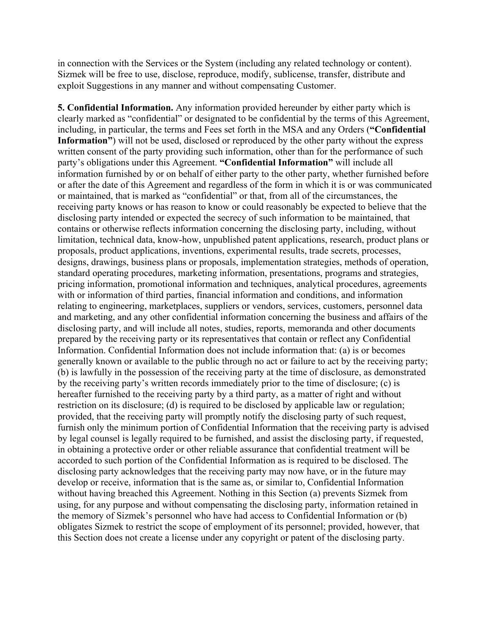in connection with the Services or the System (including any related technology or content). Sizmek will be free to use, disclose, reproduce, modify, sublicense, transfer, distribute and exploit Suggestions in any manner and without compensating Customer.

**5. Confidential Information.** Any information provided hereunder by either party which is clearly marked as "confidential" or designated to be confidential by the terms of this Agreement, including, in particular, the terms and Fees set forth in the MSA and any Orders (**"Confidential Information"**) will not be used, disclosed or reproduced by the other party without the express written consent of the party providing such information, other than for the performance of such party's obligations under this Agreement. **"Confidential Information"** will include all information furnished by or on behalf of either party to the other party, whether furnished before or after the date of this Agreement and regardless of the form in which it is or was communicated or maintained, that is marked as "confidential" or that, from all of the circumstances, the receiving party knows or has reason to know or could reasonably be expected to believe that the disclosing party intended or expected the secrecy of such information to be maintained, that contains or otherwise reflects information concerning the disclosing party, including, without limitation, technical data, know-how, unpublished patent applications, research, product plans or proposals, product applications, inventions, experimental results, trade secrets, processes, designs, drawings, business plans or proposals, implementation strategies, methods of operation, standard operating procedures, marketing information, presentations, programs and strategies, pricing information, promotional information and techniques, analytical procedures, agreements with or information of third parties, financial information and conditions, and information relating to engineering, marketplaces, suppliers or vendors, services, customers, personnel data and marketing, and any other confidential information concerning the business and affairs of the disclosing party, and will include all notes, studies, reports, memoranda and other documents prepared by the receiving party or its representatives that contain or reflect any Confidential Information. Confidential Information does not include information that: (a) is or becomes generally known or available to the public through no act or failure to act by the receiving party; (b) is lawfully in the possession of the receiving party at the time of disclosure, as demonstrated by the receiving party's written records immediately prior to the time of disclosure; (c) is hereafter furnished to the receiving party by a third party, as a matter of right and without restriction on its disclosure; (d) is required to be disclosed by applicable law or regulation; provided, that the receiving party will promptly notify the disclosing party of such request, furnish only the minimum portion of Confidential Information that the receiving party is advised by legal counsel is legally required to be furnished, and assist the disclosing party, if requested, in obtaining a protective order or other reliable assurance that confidential treatment will be accorded to such portion of the Confidential Information as is required to be disclosed. The disclosing party acknowledges that the receiving party may now have, or in the future may develop or receive, information that is the same as, or similar to, Confidential Information without having breached this Agreement. Nothing in this Section (a) prevents Sizmek from using, for any purpose and without compensating the disclosing party, information retained in the memory of Sizmek's personnel who have had access to Confidential Information or (b) obligates Sizmek to restrict the scope of employment of its personnel; provided, however, that this Section does not create a license under any copyright or patent of the disclosing party.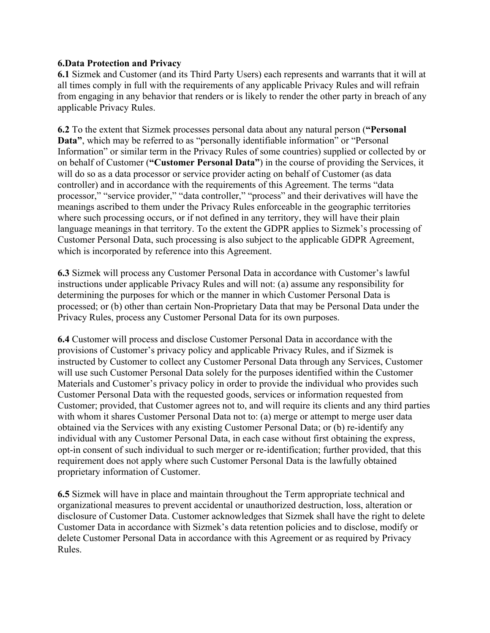### **6.Data Protection and Privacy**

**6.1** Sizmek and Customer (and its Third Party Users) each represents and warrants that it will at all times comply in full with the requirements of any applicable Privacy Rules and will refrain from engaging in any behavior that renders or is likely to render the other party in breach of any applicable Privacy Rules.

**6.2** To the extent that Sizmek processes personal data about any natural person (**"Personal Data"**, which may be referred to as "personally identifiable information" or "Personal Information" or similar term in the Privacy Rules of some countries) supplied or collected by or on behalf of Customer (**"Customer Personal Data"**) in the course of providing the Services, it will do so as a data processor or service provider acting on behalf of Customer (as data controller) and in accordance with the requirements of this Agreement. The terms "data processor," "service provider," "data controller," "process" and their derivatives will have the meanings ascribed to them under the Privacy Rules enforceable in the geographic territories where such processing occurs, or if not defined in any territory, they will have their plain language meanings in that territory. To the extent the GDPR applies to Sizmek's processing of Customer Personal Data, such processing is also subject to the applicable GDPR Agreement, which is incorporated by reference into this Agreement.

**6.3** Sizmek will process any Customer Personal Data in accordance with Customer's lawful instructions under applicable Privacy Rules and will not: (a) assume any responsibility for determining the purposes for which or the manner in which Customer Personal Data is processed; or (b) other than certain Non-Proprietary Data that may be Personal Data under the Privacy Rules, process any Customer Personal Data for its own purposes.

**6.4** Customer will process and disclose Customer Personal Data in accordance with the provisions of Customer's privacy policy and applicable Privacy Rules, and if Sizmek is instructed by Customer to collect any Customer Personal Data through any Services, Customer will use such Customer Personal Data solely for the purposes identified within the Customer Materials and Customer's privacy policy in order to provide the individual who provides such Customer Personal Data with the requested goods, services or information requested from Customer; provided, that Customer agrees not to, and will require its clients and any third parties with whom it shares Customer Personal Data not to: (a) merge or attempt to merge user data obtained via the Services with any existing Customer Personal Data; or (b) re-identify any individual with any Customer Personal Data, in each case without first obtaining the express, opt-in consent of such individual to such merger or re-identification; further provided, that this requirement does not apply where such Customer Personal Data is the lawfully obtained proprietary information of Customer.

**6.5** Sizmek will have in place and maintain throughout the Term appropriate technical and organizational measures to prevent accidental or unauthorized destruction, loss, alteration or disclosure of Customer Data. Customer acknowledges that Sizmek shall have the right to delete Customer Data in accordance with Sizmek's data retention policies and to disclose, modify or delete Customer Personal Data in accordance with this Agreement or as required by Privacy Rules.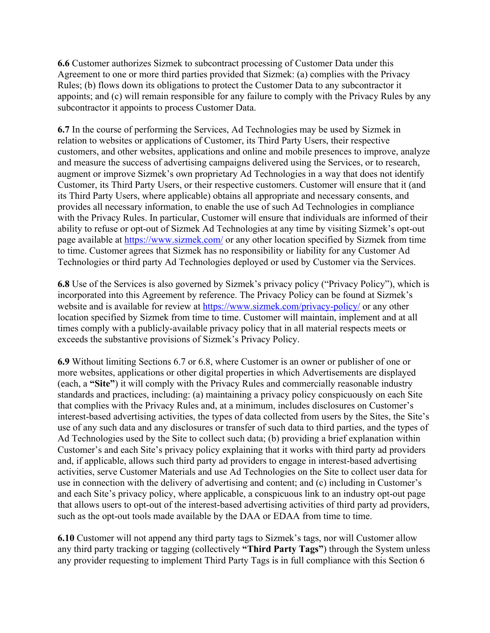**6.6** Customer authorizes Sizmek to subcontract processing of Customer Data under this Agreement to one or more third parties provided that Sizmek: (a) complies with the Privacy Rules; (b) flows down its obligations to protect the Customer Data to any subcontractor it appoints; and (c) will remain responsible for any failure to comply with the Privacy Rules by any subcontractor it appoints to process Customer Data.

**6.7** In the course of performing the Services, Ad Technologies may be used by Sizmek in relation to websites or applications of Customer, its Third Party Users, their respective customers, and other websites, applications and online and mobile presences to improve, analyze and measure the success of advertising campaigns delivered using the Services, or to research, augment or improve Sizmek's own proprietary Ad Technologies in a way that does not identify Customer, its Third Party Users, or their respective customers. Customer will ensure that it (and its Third Party Users, where applicable) obtains all appropriate and necessary consents, and provides all necessary information, to enable the use of such Ad Technologies in compliance with the Privacy Rules. In particular, Customer will ensure that individuals are informed of their ability to refuse or opt-out of Sizmek Ad Technologies at any time by visiting Sizmek's opt-out page available at https://www.sizmek.com/ or any other location specified by Sizmek from time to time. Customer agrees that Sizmek has no responsibility or liability for any Customer Ad Technologies or third party Ad Technologies deployed or used by Customer via the Services.

**6.8** Use of the Services is also governed by Sizmek's privacy policy ("Privacy Policy"), which is incorporated into this Agreement by reference. The Privacy Policy can be found at Sizmek's website and is available for review at https://www.sizmek.com/privacy-policy/ or any other location specified by Sizmek from time to time. Customer will maintain, implement and at all times comply with a publicly-available privacy policy that in all material respects meets or exceeds the substantive provisions of Sizmek's Privacy Policy.

**6.9** Without limiting Sections 6.7 or 6.8, where Customer is an owner or publisher of one or more websites, applications or other digital properties in which Advertisements are displayed (each, a **"Site"**) it will comply with the Privacy Rules and commercially reasonable industry standards and practices, including: (a) maintaining a privacy policy conspicuously on each Site that complies with the Privacy Rules and, at a minimum, includes disclosures on Customer's interest-based advertising activities, the types of data collected from users by the Sites, the Site's use of any such data and any disclosures or transfer of such data to third parties, and the types of Ad Technologies used by the Site to collect such data; (b) providing a brief explanation within Customer's and each Site's privacy policy explaining that it works with third party ad providers and, if applicable, allows such third party ad providers to engage in interest-based advertising activities, serve Customer Materials and use Ad Technologies on the Site to collect user data for use in connection with the delivery of advertising and content; and (c) including in Customer's and each Site's privacy policy, where applicable, a conspicuous link to an industry opt-out page that allows users to opt-out of the interest-based advertising activities of third party ad providers, such as the opt-out tools made available by the DAA or EDAA from time to time.

**6.10** Customer will not append any third party tags to Sizmek's tags, nor will Customer allow any third party tracking or tagging (collectively **"Third Party Tags"**) through the System unless any provider requesting to implement Third Party Tags is in full compliance with this Section 6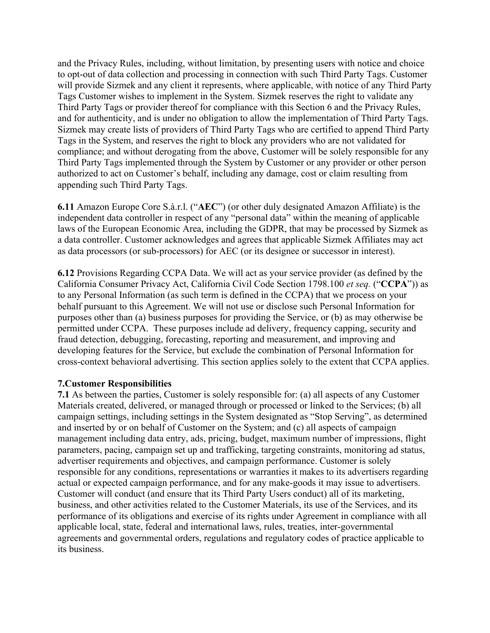and the Privacy Rules, including, without limitation, by presenting users with notice and choice to opt-out of data collection and processing in connection with such Third Party Tags. Customer will provide Sizmek and any client it represents, where applicable, with notice of any Third Party Tags Customer wishes to implement in the System. Sizmek reserves the right to validate any Third Party Tags or provider thereof for compliance with this Section 6 and the Privacy Rules, and for authenticity, and is under no obligation to allow the implementation of Third Party Tags. Sizmek may create lists of providers of Third Party Tags who are certified to append Third Party Tags in the System, and reserves the right to block any providers who are not validated for compliance; and without derogating from the above, Customer will be solely responsible for any Third Party Tags implemented through the System by Customer or any provider or other person authorized to act on Customer's behalf, including any damage, cost or claim resulting from appending such Third Party Tags.

**6.11** Amazon Europe Core S.à.r.l. ("**AEC**") (or other duly designated Amazon Affiliate) is the independent data controller in respect of any "personal data" within the meaning of applicable laws of the European Economic Area, including the GDPR, that may be processed by Sizmek as a data controller. Customer acknowledges and agrees that applicable Sizmek Affiliates may act as data processors (or sub-processors) for AEC (or its designee or successor in interest).

**6.12** Provisions Regarding CCPA Data. We will act as your service provider (as defined by the California Consumer Privacy Act, California Civil Code Section 1798.100 *et seq.* ("**CCPA**")) as to any Personal Information (as such term is defined in the CCPA) that we process on your behalf pursuant to this Agreement. We will not use or disclose such Personal Information for purposes other than (a) business purposes for providing the Service, or (b) as may otherwise be permitted under CCPA. These purposes include ad delivery, frequency capping, security and fraud detection, debugging, forecasting, reporting and measurement, and improving and developing features for the Service, but exclude the combination of Personal Information for cross-context behavioral advertising. This section applies solely to the extent that CCPA applies.

#### **7.Customer Responsibilities**

**7.1** As between the parties, Customer is solely responsible for: (a) all aspects of any Customer Materials created, delivered, or managed through or processed or linked to the Services; (b) all campaign settings, including settings in the System designated as "Stop Serving", as determined and inserted by or on behalf of Customer on the System; and (c) all aspects of campaign management including data entry, ads, pricing, budget, maximum number of impressions, flight parameters, pacing, campaign set up and trafficking, targeting constraints, monitoring ad status, advertiser requirements and objectives, and campaign performance. Customer is solely responsible for any conditions, representations or warranties it makes to its advertisers regarding actual or expected campaign performance, and for any make-goods it may issue to advertisers. Customer will conduct (and ensure that its Third Party Users conduct) all of its marketing, business, and other activities related to the Customer Materials, its use of the Services, and its performance of its obligations and exercise of its rights under Agreement in compliance with all applicable local, state, federal and international laws, rules, treaties, inter-governmental agreements and governmental orders, regulations and regulatory codes of practice applicable to its business.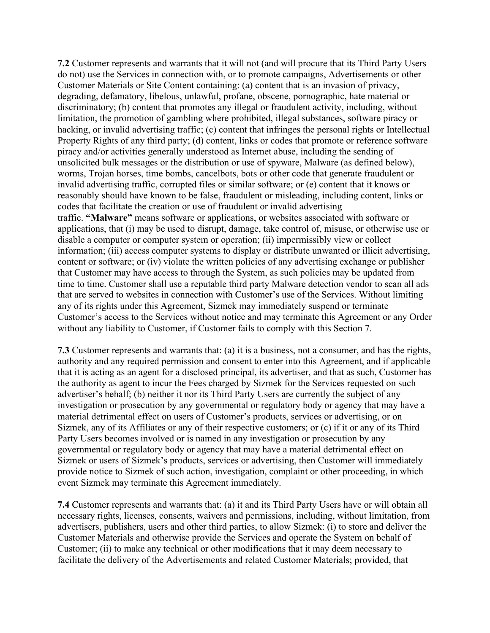**7.2** Customer represents and warrants that it will not (and will procure that its Third Party Users do not) use the Services in connection with, or to promote campaigns, Advertisements or other Customer Materials or Site Content containing: (a) content that is an invasion of privacy, degrading, defamatory, libelous, unlawful, profane, obscene, pornographic, hate material or discriminatory; (b) content that promotes any illegal or fraudulent activity, including, without limitation, the promotion of gambling where prohibited, illegal substances, software piracy or hacking, or invalid advertising traffic; (c) content that infringes the personal rights or Intellectual Property Rights of any third party; (d) content, links or codes that promote or reference software piracy and/or activities generally understood as Internet abuse, including the sending of unsolicited bulk messages or the distribution or use of spyware, Malware (as defined below), worms, Trojan horses, time bombs, cancelbots, bots or other code that generate fraudulent or invalid advertising traffic, corrupted files or similar software; or (e) content that it knows or reasonably should have known to be false, fraudulent or misleading, including content, links or codes that facilitate the creation or use of fraudulent or invalid advertising traffic. **"Malware"** means software or applications, or websites associated with software or applications, that (i) may be used to disrupt, damage, take control of, misuse, or otherwise use or disable a computer or computer system or operation; (ii) impermissibly view or collect information; (iii) access computer systems to display or distribute unwanted or illicit advertising, content or software; or (iv) violate the written policies of any advertising exchange or publisher that Customer may have access to through the System, as such policies may be updated from time to time. Customer shall use a reputable third party Malware detection vendor to scan all ads that are served to websites in connection with Customer's use of the Services. Without limiting any of its rights under this Agreement, Sizmek may immediately suspend or terminate Customer's access to the Services without notice and may terminate this Agreement or any Order without any liability to Customer, if Customer fails to comply with this Section 7.

**7.3** Customer represents and warrants that: (a) it is a business, not a consumer, and has the rights, authority and any required permission and consent to enter into this Agreement, and if applicable that it is acting as an agent for a disclosed principal, its advertiser, and that as such, Customer has the authority as agent to incur the Fees charged by Sizmek for the Services requested on such advertiser's behalf; (b) neither it nor its Third Party Users are currently the subject of any investigation or prosecution by any governmental or regulatory body or agency that may have a material detrimental effect on users of Customer's products, services or advertising, or on Sizmek, any of its Affiliates or any of their respective customers; or (c) if it or any of its Third Party Users becomes involved or is named in any investigation or prosecution by any governmental or regulatory body or agency that may have a material detrimental effect on Sizmek or users of Sizmek's products, services or advertising, then Customer will immediately provide notice to Sizmek of such action, investigation, complaint or other proceeding, in which event Sizmek may terminate this Agreement immediately.

**7.4** Customer represents and warrants that: (a) it and its Third Party Users have or will obtain all necessary rights, licenses, consents, waivers and permissions, including, without limitation, from advertisers, publishers, users and other third parties, to allow Sizmek: (i) to store and deliver the Customer Materials and otherwise provide the Services and operate the System on behalf of Customer; (ii) to make any technical or other modifications that it may deem necessary to facilitate the delivery of the Advertisements and related Customer Materials; provided, that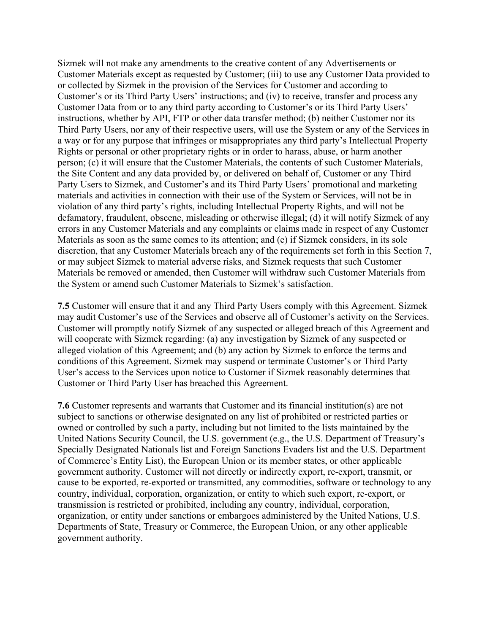Sizmek will not make any amendments to the creative content of any Advertisements or Customer Materials except as requested by Customer; (iii) to use any Customer Data provided to or collected by Sizmek in the provision of the Services for Customer and according to Customer's or its Third Party Users' instructions; and (iv) to receive, transfer and process any Customer Data from or to any third party according to Customer's or its Third Party Users' instructions, whether by API, FTP or other data transfer method; (b) neither Customer nor its Third Party Users, nor any of their respective users, will use the System or any of the Services in a way or for any purpose that infringes or misappropriates any third party's Intellectual Property Rights or personal or other proprietary rights or in order to harass, abuse, or harm another person; (c) it will ensure that the Customer Materials, the contents of such Customer Materials, the Site Content and any data provided by, or delivered on behalf of, Customer or any Third Party Users to Sizmek, and Customer's and its Third Party Users' promotional and marketing materials and activities in connection with their use of the System or Services, will not be in violation of any third party's rights, including Intellectual Property Rights, and will not be defamatory, fraudulent, obscene, misleading or otherwise illegal; (d) it will notify Sizmek of any errors in any Customer Materials and any complaints or claims made in respect of any Customer Materials as soon as the same comes to its attention; and (e) if Sizmek considers, in its sole discretion, that any Customer Materials breach any of the requirements set forth in this Section 7, or may subject Sizmek to material adverse risks, and Sizmek requests that such Customer Materials be removed or amended, then Customer will withdraw such Customer Materials from the System or amend such Customer Materials to Sizmek's satisfaction.

**7.5** Customer will ensure that it and any Third Party Users comply with this Agreement. Sizmek may audit Customer's use of the Services and observe all of Customer's activity on the Services. Customer will promptly notify Sizmek of any suspected or alleged breach of this Agreement and will cooperate with Sizmek regarding: (a) any investigation by Sizmek of any suspected or alleged violation of this Agreement; and (b) any action by Sizmek to enforce the terms and conditions of this Agreement. Sizmek may suspend or terminate Customer's or Third Party User's access to the Services upon notice to Customer if Sizmek reasonably determines that Customer or Third Party User has breached this Agreement.

**7.6** Customer represents and warrants that Customer and its financial institution(s) are not subject to sanctions or otherwise designated on any list of prohibited or restricted parties or owned or controlled by such a party, including but not limited to the lists maintained by the United Nations Security Council, the U.S. government (e.g., the U.S. Department of Treasury's Specially Designated Nationals list and Foreign Sanctions Evaders list and the U.S. Department of Commerce's Entity List), the European Union or its member states, or other applicable government authority. Customer will not directly or indirectly export, re-export, transmit, or cause to be exported, re-exported or transmitted, any commodities, software or technology to any country, individual, corporation, organization, or entity to which such export, re-export, or transmission is restricted or prohibited, including any country, individual, corporation, organization, or entity under sanctions or embargoes administered by the United Nations, U.S. Departments of State, Treasury or Commerce, the European Union, or any other applicable government authority.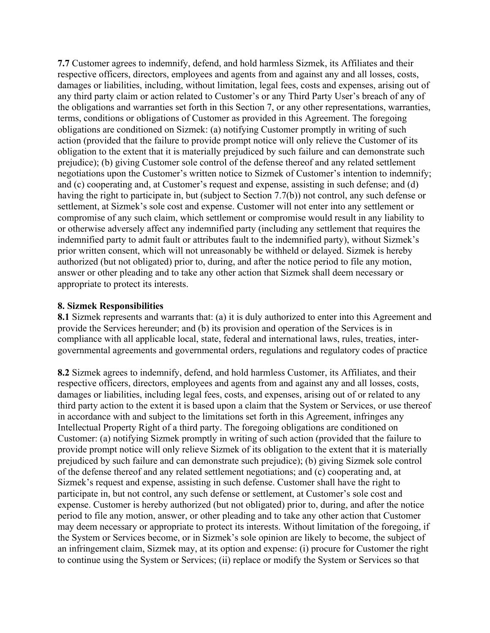**7.7** Customer agrees to indemnify, defend, and hold harmless Sizmek, its Affiliates and their respective officers, directors, employees and agents from and against any and all losses, costs, damages or liabilities, including, without limitation, legal fees, costs and expenses, arising out of any third party claim or action related to Customer's or any Third Party User's breach of any of the obligations and warranties set forth in this Section 7, or any other representations, warranties, terms, conditions or obligations of Customer as provided in this Agreement. The foregoing obligations are conditioned on Sizmek: (a) notifying Customer promptly in writing of such action (provided that the failure to provide prompt notice will only relieve the Customer of its obligation to the extent that it is materially prejudiced by such failure and can demonstrate such prejudice); (b) giving Customer sole control of the defense thereof and any related settlement negotiations upon the Customer's written notice to Sizmek of Customer's intention to indemnify; and (c) cooperating and, at Customer's request and expense, assisting in such defense; and (d) having the right to participate in, but (subject to Section 7.7(b)) not control, any such defense or settlement, at Sizmek's sole cost and expense. Customer will not enter into any settlement or compromise of any such claim, which settlement or compromise would result in any liability to or otherwise adversely affect any indemnified party (including any settlement that requires the indemnified party to admit fault or attributes fault to the indemnified party), without Sizmek's prior written consent, which will not unreasonably be withheld or delayed. Sizmek is hereby authorized (but not obligated) prior to, during, and after the notice period to file any motion, answer or other pleading and to take any other action that Sizmek shall deem necessary or appropriate to protect its interests.

#### **8. Sizmek Responsibilities**

**8.1** Sizmek represents and warrants that: (a) it is duly authorized to enter into this Agreement and provide the Services hereunder; and (b) its provision and operation of the Services is in compliance with all applicable local, state, federal and international laws, rules, treaties, intergovernmental agreements and governmental orders, regulations and regulatory codes of practice

**8.2** Sizmek agrees to indemnify, defend, and hold harmless Customer, its Affiliates, and their respective officers, directors, employees and agents from and against any and all losses, costs, damages or liabilities, including legal fees, costs, and expenses, arising out of or related to any third party action to the extent it is based upon a claim that the System or Services, or use thereof in accordance with and subject to the limitations set forth in this Agreement, infringes any Intellectual Property Right of a third party. The foregoing obligations are conditioned on Customer: (a) notifying Sizmek promptly in writing of such action (provided that the failure to provide prompt notice will only relieve Sizmek of its obligation to the extent that it is materially prejudiced by such failure and can demonstrate such prejudice); (b) giving Sizmek sole control of the defense thereof and any related settlement negotiations; and (c) cooperating and, at Sizmek's request and expense, assisting in such defense. Customer shall have the right to participate in, but not control, any such defense or settlement, at Customer's sole cost and expense. Customer is hereby authorized (but not obligated) prior to, during, and after the notice period to file any motion, answer, or other pleading and to take any other action that Customer may deem necessary or appropriate to protect its interests. Without limitation of the foregoing, if the System or Services become, or in Sizmek's sole opinion are likely to become, the subject of an infringement claim, Sizmek may, at its option and expense: (i) procure for Customer the right to continue using the System or Services; (ii) replace or modify the System or Services so that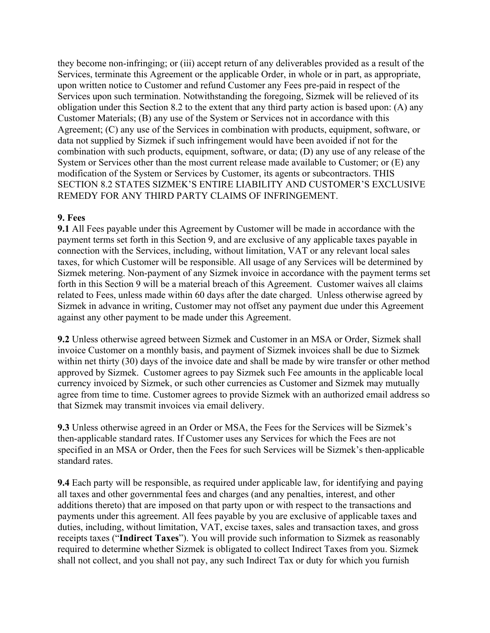they become non-infringing; or (iii) accept return of any deliverables provided as a result of the Services, terminate this Agreement or the applicable Order, in whole or in part, as appropriate, upon written notice to Customer and refund Customer any Fees pre-paid in respect of the Services upon such termination. Notwithstanding the foregoing, Sizmek will be relieved of its obligation under this Section 8.2 to the extent that any third party action is based upon: (A) any Customer Materials; (B) any use of the System or Services not in accordance with this Agreement; (C) any use of the Services in combination with products, equipment, software, or data not supplied by Sizmek if such infringement would have been avoided if not for the combination with such products, equipment, software, or data; (D) any use of any release of the System or Services other than the most current release made available to Customer; or (E) any modification of the System or Services by Customer, its agents or subcontractors. THIS SECTION 8.2 STATES SIZMEK'S ENTIRE LIABILITY AND CUSTOMER'S EXCLUSIVE REMEDY FOR ANY THIRD PARTY CLAIMS OF INFRINGEMENT.

### **9. Fees**

**9.1** All Fees payable under this Agreement by Customer will be made in accordance with the payment terms set forth in this Section 9, and are exclusive of any applicable taxes payable in connection with the Services, including, without limitation, VAT or any relevant local sales taxes, for which Customer will be responsible. All usage of any Services will be determined by Sizmek metering. Non-payment of any Sizmek invoice in accordance with the payment terms set forth in this Section 9 will be a material breach of this Agreement. Customer waives all claims related to Fees, unless made within 60 days after the date charged. Unless otherwise agreed by Sizmek in advance in writing, Customer may not offset any payment due under this Agreement against any other payment to be made under this Agreement.

**9.2** Unless otherwise agreed between Sizmek and Customer in an MSA or Order, Sizmek shall invoice Customer on a monthly basis, and payment of Sizmek invoices shall be due to Sizmek within net thirty (30) days of the invoice date and shall be made by wire transfer or other method approved by Sizmek. Customer agrees to pay Sizmek such Fee amounts in the applicable local currency invoiced by Sizmek, or such other currencies as Customer and Sizmek may mutually agree from time to time. Customer agrees to provide Sizmek with an authorized email address so that Sizmek may transmit invoices via email delivery.

**9.3** Unless otherwise agreed in an Order or MSA, the Fees for the Services will be Sizmek's then-applicable standard rates. If Customer uses any Services for which the Fees are not specified in an MSA or Order, then the Fees for such Services will be Sizmek's then-applicable standard rates.

**9.4** Each party will be responsible, as required under applicable law, for identifying and paying all taxes and other governmental fees and charges (and any penalties, interest, and other additions thereto) that are imposed on that party upon or with respect to the transactions and payments under this agreement. All fees payable by you are exclusive of applicable taxes and duties, including, without limitation, VAT, excise taxes, sales and transaction taxes, and gross receipts taxes ("**Indirect Taxes**"). You will provide such information to Sizmek as reasonably required to determine whether Sizmek is obligated to collect Indirect Taxes from you. Sizmek shall not collect, and you shall not pay, any such Indirect Tax or duty for which you furnish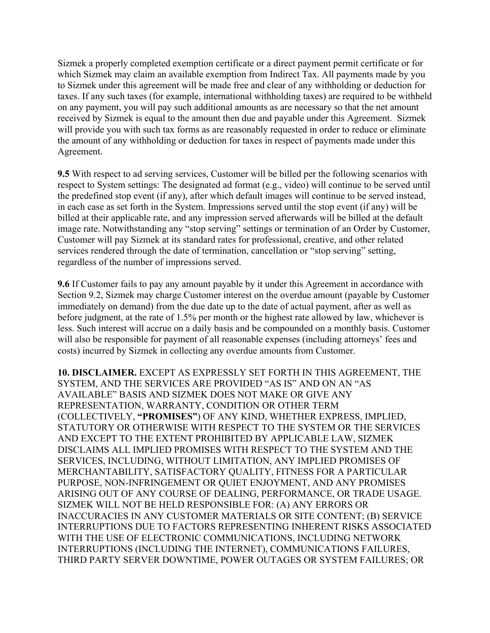Sizmek a properly completed exemption certificate or a direct payment permit certificate or for which Sizmek may claim an available exemption from Indirect Tax. All payments made by you to Sizmek under this agreement will be made free and clear of any withholding or deduction for taxes. If any such taxes (for example, international withholding taxes) are required to be withheld on any payment, you will pay such additional amounts as are necessary so that the net amount received by Sizmek is equal to the amount then due and payable under this Agreement. Sizmek will provide you with such tax forms as are reasonably requested in order to reduce or eliminate the amount of any withholding or deduction for taxes in respect of payments made under this Agreement.

**9.5** With respect to ad serving services, Customer will be billed per the following scenarios with respect to System settings: The designated ad format (e.g., video) will continue to be served until the predefined stop event (if any), after which default images will continue to be served instead, in each case as set forth in the System. Impressions served until the stop event (if any) will be billed at their applicable rate, and any impression served afterwards will be billed at the default image rate. Notwithstanding any "stop serving" settings or termination of an Order by Customer, Customer will pay Sizmek at its standard rates for professional, creative, and other related services rendered through the date of termination, cancellation or "stop serving" setting, regardless of the number of impressions served.

**9.6** If Customer fails to pay any amount payable by it under this Agreement in accordance with Section 9.2, Sizmek may charge Customer interest on the overdue amount (payable by Customer immediately on demand) from the due date up to the date of actual payment, after as well as before judgment, at the rate of 1.5% per month or the highest rate allowed by law, whichever is less. Such interest will accrue on a daily basis and be compounded on a monthly basis. Customer will also be responsible for payment of all reasonable expenses (including attorneys' fees and costs) incurred by Sizmek in collecting any overdue amounts from Customer.

**10. DISCLAIMER.** EXCEPT AS EXPRESSLY SET FORTH IN THIS AGREEMENT, THE SYSTEM, AND THE SERVICES ARE PROVIDED "AS IS" AND ON AN "AS AVAILABLE" BASIS AND SIZMEK DOES NOT MAKE OR GIVE ANY REPRESENTATION, WARRANTY, CONDITION OR OTHER TERM (COLLECTIVELY, **"PROMISES"**) OF ANY KIND, WHETHER EXPRESS, IMPLIED, STATUTORY OR OTHERWISE WITH RESPECT TO THE SYSTEM OR THE SERVICES AND EXCEPT TO THE EXTENT PROHIBITED BY APPLICABLE LAW, SIZMEK DISCLAIMS ALL IMPLIED PROMISES WITH RESPECT TO THE SYSTEM AND THE SERVICES, INCLUDING, WITHOUT LIMITATION, ANY IMPLIED PROMISES OF MERCHANTABILITY, SATISFACTORY QUALITY, FITNESS FOR A PARTICULAR PURPOSE, NON-INFRINGEMENT OR QUIET ENJOYMENT, AND ANY PROMISES ARISING OUT OF ANY COURSE OF DEALING, PERFORMANCE, OR TRADE USAGE. SIZMEK WILL NOT BE HELD RESPONSIBLE FOR: (A) ANY ERRORS OR INACCURACIES IN ANY CUSTOMER MATERIALS OR SITE CONTENT; (B) SERVICE INTERRUPTIONS DUE TO FACTORS REPRESENTING INHERENT RISKS ASSOCIATED WITH THE USE OF ELECTRONIC COMMUNICATIONS, INCLUDING NETWORK INTERRUPTIONS (INCLUDING THE INTERNET), COMMUNICATIONS FAILURES, THIRD PARTY SERVER DOWNTIME, POWER OUTAGES OR SYSTEM FAILURES; OR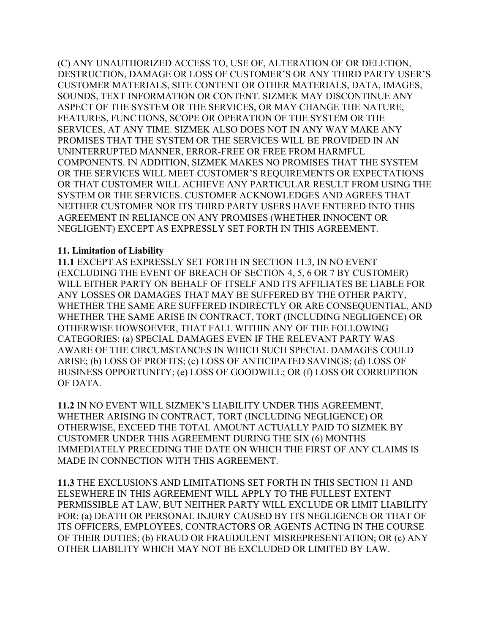(C) ANY UNAUTHORIZED ACCESS TO, USE OF, ALTERATION OF OR DELETION, DESTRUCTION, DAMAGE OR LOSS OF CUSTOMER'S OR ANY THIRD PARTY USER'S CUSTOMER MATERIALS, SITE CONTENT OR OTHER MATERIALS, DATA, IMAGES, SOUNDS, TEXT INFORMATION OR CONTENT. SIZMEK MAY DISCONTINUE ANY ASPECT OF THE SYSTEM OR THE SERVICES, OR MAY CHANGE THE NATURE, FEATURES, FUNCTIONS, SCOPE OR OPERATION OF THE SYSTEM OR THE SERVICES, AT ANY TIME. SIZMEK ALSO DOES NOT IN ANY WAY MAKE ANY PROMISES THAT THE SYSTEM OR THE SERVICES WILL BE PROVIDED IN AN UNINTERRUPTED MANNER, ERROR-FREE OR FREE FROM HARMFUL COMPONENTS. IN ADDITION, SIZMEK MAKES NO PROMISES THAT THE SYSTEM OR THE SERVICES WILL MEET CUSTOMER'S REQUIREMENTS OR EXPECTATIONS OR THAT CUSTOMER WILL ACHIEVE ANY PARTICULAR RESULT FROM USING THE SYSTEM OR THE SERVICES. CUSTOMER ACKNOWLEDGES AND AGREES THAT NEITHER CUSTOMER NOR ITS THIRD PARTY USERS HAVE ENTERED INTO THIS AGREEMENT IN RELIANCE ON ANY PROMISES (WHETHER INNOCENT OR NEGLIGENT) EXCEPT AS EXPRESSLY SET FORTH IN THIS AGREEMENT.

### **11. Limitation of Liability**

**11.1** EXCEPT AS EXPRESSLY SET FORTH IN SECTION 11.3, IN NO EVENT (EXCLUDING THE EVENT OF BREACH OF SECTION 4, 5, 6 OR 7 BY CUSTOMER) WILL EITHER PARTY ON BEHALF OF ITSELF AND ITS AFFILIATES BE LIABLE FOR ANY LOSSES OR DAMAGES THAT MAY BE SUFFERED BY THE OTHER PARTY, WHETHER THE SAME ARE SUFFERED INDIRECTLY OR ARE CONSEQUENTIAL, AND WHETHER THE SAME ARISE IN CONTRACT, TORT (INCLUDING NEGLIGENCE) OR OTHERWISE HOWSOEVER, THAT FALL WITHIN ANY OF THE FOLLOWING CATEGORIES: (a) SPECIAL DAMAGES EVEN IF THE RELEVANT PARTY WAS AWARE OF THE CIRCUMSTANCES IN WHICH SUCH SPECIAL DAMAGES COULD ARISE; (b) LOSS OF PROFITS; (c) LOSS OF ANTICIPATED SAVINGS; (d) LOSS OF BUSINESS OPPORTUNITY; (e) LOSS OF GOODWILL; OR (f) LOSS OR CORRUPTION OF DATA.

**11.2** IN NO EVENT WILL SIZMEK'S LIABILITY UNDER THIS AGREEMENT, WHETHER ARISING IN CONTRACT, TORT (INCLUDING NEGLIGENCE) OR OTHERWISE, EXCEED THE TOTAL AMOUNT ACTUALLY PAID TO SIZMEK BY CUSTOMER UNDER THIS AGREEMENT DURING THE SIX (6) MONTHS IMMEDIATELY PRECEDING THE DATE ON WHICH THE FIRST OF ANY CLAIMS IS MADE IN CONNECTION WITH THIS AGREEMENT.

**11.3** THE EXCLUSIONS AND LIMITATIONS SET FORTH IN THIS SECTION 11 AND ELSEWHERE IN THIS AGREEMENT WILL APPLY TO THE FULLEST EXTENT PERMISSIBLE AT LAW, BUT NEITHER PARTY WILL EXCLUDE OR LIMIT LIABILITY FOR: (a) DEATH OR PERSONAL INJURY CAUSED BY ITS NEGLIGENCE OR THAT OF ITS OFFICERS, EMPLOYEES, CONTRACTORS OR AGENTS ACTING IN THE COURSE OF THEIR DUTIES; (b) FRAUD OR FRAUDULENT MISREPRESENTATION; OR (c) ANY OTHER LIABILITY WHICH MAY NOT BE EXCLUDED OR LIMITED BY LAW.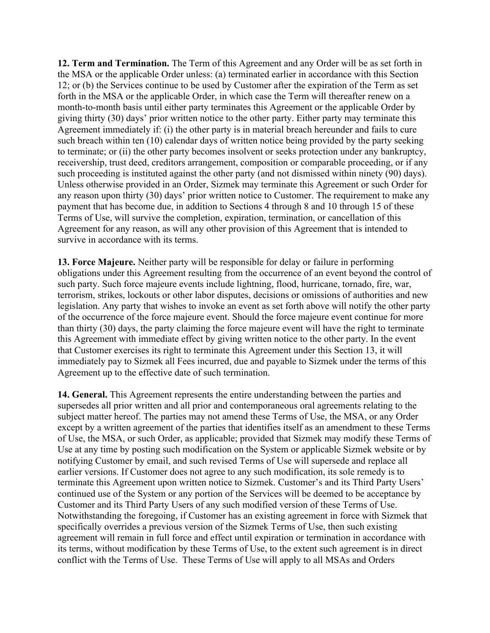**12. Term and Termination.** The Term of this Agreement and any Order will be as set forth in the MSA or the applicable Order unless: (a) terminated earlier in accordance with this Section 12; or (b) the Services continue to be used by Customer after the expiration of the Term as set forth in the MSA or the applicable Order, in which case the Term will thereafter renew on a month-to-month basis until either party terminates this Agreement or the applicable Order by giving thirty (30) days' prior written notice to the other party. Either party may terminate this Agreement immediately if: (i) the other party is in material breach hereunder and fails to cure such breach within ten (10) calendar days of written notice being provided by the party seeking to terminate; or (ii) the other party becomes insolvent or seeks protection under any bankruptcy, receivership, trust deed, creditors arrangement, composition or comparable proceeding, or if any such proceeding is instituted against the other party (and not dismissed within ninety (90) days). Unless otherwise provided in an Order, Sizmek may terminate this Agreement or such Order for any reason upon thirty (30) days' prior written notice to Customer. The requirement to make any payment that has become due, in addition to Sections 4 through 8 and 10 through 15 of these Terms of Use, will survive the completion, expiration, termination, or cancellation of this Agreement for any reason, as will any other provision of this Agreement that is intended to survive in accordance with its terms.

**13. Force Majeure.** Neither party will be responsible for delay or failure in performing obligations under this Agreement resulting from the occurrence of an event beyond the control of such party. Such force majeure events include lightning, flood, hurricane, tornado, fire, war, terrorism, strikes, lockouts or other labor disputes, decisions or omissions of authorities and new legislation. Any party that wishes to invoke an event as set forth above will notify the other party of the occurrence of the force majeure event. Should the force majeure event continue for more than thirty (30) days, the party claiming the force majeure event will have the right to terminate this Agreement with immediate effect by giving written notice to the other party. In the event that Customer exercises its right to terminate this Agreement under this Section 13, it will immediately pay to Sizmek all Fees incurred, due and payable to Sizmek under the terms of this Agreement up to the effective date of such termination.

**14. General.** This Agreement represents the entire understanding between the parties and supersedes all prior written and all prior and contemporaneous oral agreements relating to the subject matter hereof. The parties may not amend these Terms of Use, the MSA, or any Order except by a written agreement of the parties that identifies itself as an amendment to these Terms of Use, the MSA, or such Order, as applicable; provided that Sizmek may modify these Terms of Use at any time by posting such modification on the System or applicable Sizmek website or by notifying Customer by email, and such revised Terms of Use will supersede and replace all earlier versions. If Customer does not agree to any such modification, its sole remedy is to terminate this Agreement upon written notice to Sizmek. Customer's and its Third Party Users' continued use of the System or any portion of the Services will be deemed to be acceptance by Customer and its Third Party Users of any such modified version of these Terms of Use. Notwithstanding the foregoing, if Customer has an existing agreement in force with Sizmek that specifically overrides a previous version of the Sizmek Terms of Use, then such existing agreement will remain in full force and effect until expiration or termination in accordance with its terms, without modification by these Terms of Use, to the extent such agreement is in direct conflict with the Terms of Use. These Terms of Use will apply to all MSAs and Orders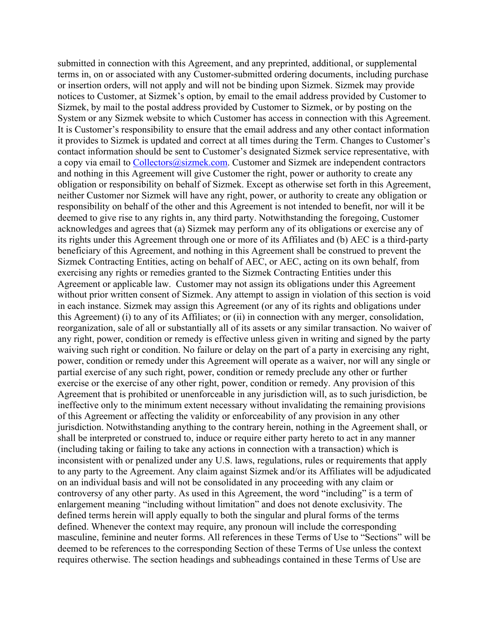submitted in connection with this Agreement, and any preprinted, additional, or supplemental terms in, on or associated with any Customer-submitted ordering documents, including purchase or insertion orders, will not apply and will not be binding upon Sizmek. Sizmek may provide notices to Customer, at Sizmek's option, by email to the email address provided by Customer to Sizmek, by mail to the postal address provided by Customer to Sizmek, or by posting on the System or any Sizmek website to which Customer has access in connection with this Agreement. It is Customer's responsibility to ensure that the email address and any other contact information it provides to Sizmek is updated and correct at all times during the Term. Changes to Customer's contact information should be sent to Customer's designated Sizmek service representative, with a copy via email to Collectors@sizmek.com. Customer and Sizmek are independent contractors and nothing in this Agreement will give Customer the right, power or authority to create any obligation or responsibility on behalf of Sizmek. Except as otherwise set forth in this Agreement, neither Customer nor Sizmek will have any right, power, or authority to create any obligation or responsibility on behalf of the other and this Agreement is not intended to benefit, nor will it be deemed to give rise to any rights in, any third party. Notwithstanding the foregoing, Customer acknowledges and agrees that (a) Sizmek may perform any of its obligations or exercise any of its rights under this Agreement through one or more of its Affiliates and (b) AEC is a third-party beneficiary of this Agreement, and nothing in this Agreement shall be construed to prevent the Sizmek Contracting Entities, acting on behalf of AEC, or AEC, acting on its own behalf, from exercising any rights or remedies granted to the Sizmek Contracting Entities under this Agreement or applicable law. Customer may not assign its obligations under this Agreement without prior written consent of Sizmek. Any attempt to assign in violation of this section is void in each instance. Sizmek may assign this Agreement (or any of its rights and obligations under this Agreement) (i) to any of its Affiliates; or (ii) in connection with any merger, consolidation, reorganization, sale of all or substantially all of its assets or any similar transaction. No waiver of any right, power, condition or remedy is effective unless given in writing and signed by the party waiving such right or condition. No failure or delay on the part of a party in exercising any right, power, condition or remedy under this Agreement will operate as a waiver, nor will any single or partial exercise of any such right, power, condition or remedy preclude any other or further exercise or the exercise of any other right, power, condition or remedy. Any provision of this Agreement that is prohibited or unenforceable in any jurisdiction will, as to such jurisdiction, be ineffective only to the minimum extent necessary without invalidating the remaining provisions of this Agreement or affecting the validity or enforceability of any provision in any other jurisdiction. Notwithstanding anything to the contrary herein, nothing in the Agreement shall, or shall be interpreted or construed to, induce or require either party hereto to act in any manner (including taking or failing to take any actions in connection with a transaction) which is inconsistent with or penalized under any U.S. laws, regulations, rules or requirements that apply to any party to the Agreement. Any claim against Sizmek and/or its Affiliates will be adjudicated on an individual basis and will not be consolidated in any proceeding with any claim or controversy of any other party. As used in this Agreement, the word "including" is a term of enlargement meaning "including without limitation" and does not denote exclusivity. The defined terms herein will apply equally to both the singular and plural forms of the terms defined. Whenever the context may require, any pronoun will include the corresponding masculine, feminine and neuter forms. All references in these Terms of Use to "Sections" will be deemed to be references to the corresponding Section of these Terms of Use unless the context requires otherwise. The section headings and subheadings contained in these Terms of Use are